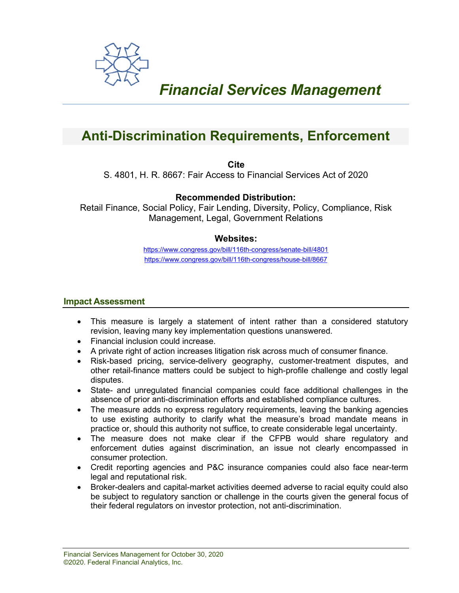

# *Financial Services Management*

# **Anti-Discrimination Requirements, Enforcement**

**Cite**

S. 4801, H. R. 8667: Fair Access to Financial Services Act of 2020

# **Recommended Distribution:**

Retail Finance, Social Policy, Fair Lending, Diversity, Policy, Compliance, Risk Management, Legal, Government Relations

# **Websites:**

<https://www.congress.gov/bill/116th-congress/senate-bill/4801> <https://www.congress.gov/bill/116th-congress/house-bill/8667>

#### **Impact Assessment**

- This measure is largely a statement of intent rather than a considered statutory revision, leaving many key implementation questions unanswered.
- Financial inclusion could increase.
- A private right of action increases litigation risk across much of consumer finance.
- Risk-based pricing, service-delivery geography, customer-treatment disputes, and other retail-finance matters could be subject to high-profile challenge and costly legal disputes.
- State- and unregulated financial companies could face additional challenges in the absence of prior anti-discrimination efforts and established compliance cultures.
- The measure adds no express regulatory requirements, leaving the banking agencies to use existing authority to clarify what the measure's broad mandate means in practice or, should this authority not suffice, to create considerable legal uncertainty.
- The measure does not make clear if the CFPB would share regulatory and enforcement duties against discrimination, an issue not clearly encompassed in consumer protection.
- Credit reporting agencies and P&C insurance companies could also face near-term legal and reputational risk.
- Broker-dealers and capital-market activities deemed adverse to racial equity could also be subject to regulatory sanction or challenge in the courts given the general focus of their federal regulators on investor protection, not anti-discrimination.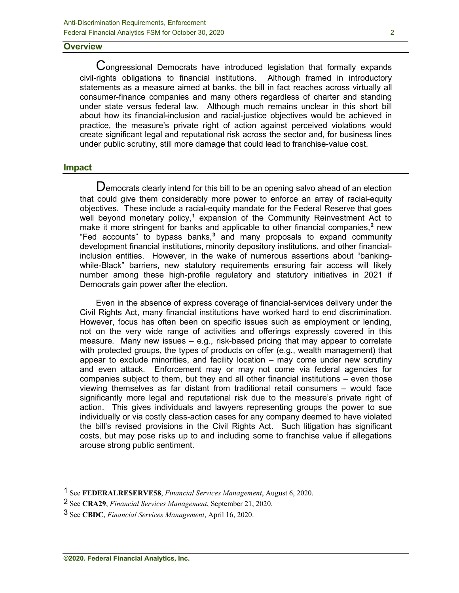#### **Overview**

Congressional Democrats have introduced legislation that formally expands civil-rights obligations to financial institutions. Although framed in introductory statements as a measure aimed at banks, the bill in fact reaches across virtually all consumer-finance companies and many others regardless of charter and standing under state versus federal law. Although much remains unclear in this short bill about how its financial-inclusion and racial-justice objectives would be achieved in practice, the measure's private right of action against perceived violations would create significant legal and reputational risk across the sector and, for business lines under public scrutiny, still more damage that could lead to franchise-value cost.

#### **Impact**

 $\mathbf D$ emocrats clearly intend for this bill to be an opening salvo ahead of an election that could give them considerably more power to enforce an array of racial-equity objectives. These include a racial-equity mandate for the Federal Reserve that goes well beyond monetary policy,**[1](#page-1-0)** expansion of the Community Reinvestment Act to make it more stringent for banks and applicable to other financial companies,**[2](#page-1-1)** new "Fed accounts" to bypass banks,**[3](#page-1-2)** and many proposals to expand community development financial institutions, minority depository institutions, and other financialinclusion entities. However, in the wake of numerous assertions about "bankingwhile-Black" barriers, new statutory requirements ensuring fair access will likely number among these high-profile regulatory and statutory initiatives in 2021 if Democrats gain power after the election.

Even in the absence of express coverage of financial-services delivery under the Civil Rights Act, many financial institutions have worked hard to end discrimination. However, focus has often been on specific issues such as employment or lending, not on the very wide range of activities and offerings expressly covered in this measure. Many new issues – e.g., risk-based pricing that may appear to correlate with protected groups, the types of products on offer (e.g., wealth management) that appear to exclude minorities, and facility location – may come under new scrutiny and even attack. Enforcement may or may not come via federal agencies for companies subject to them, but they and all other financial institutions – even those viewing themselves as far distant from traditional retail consumers – would face significantly more legal and reputational risk due to the measure's private right of action. This gives individuals and lawyers representing groups the power to sue individually or via costly class-action cases for any company deemed to have violated the bill's revised provisions in the Civil Rights Act. Such litigation has significant costs, but may pose risks up to and including some to franchise value if allegations arouse strong public sentiment.

<span id="page-1-0"></span><sup>1</sup> See **FEDERALRESERVE58**, *Financial Services Management*, August 6, 2020.

<span id="page-1-1"></span><sup>2</sup> See **CRA29**, *Financial Services Management*, September 21, 2020.

<span id="page-1-2"></span><sup>3</sup> See **CBDC**, *Financial Services Management*, April 16, 2020.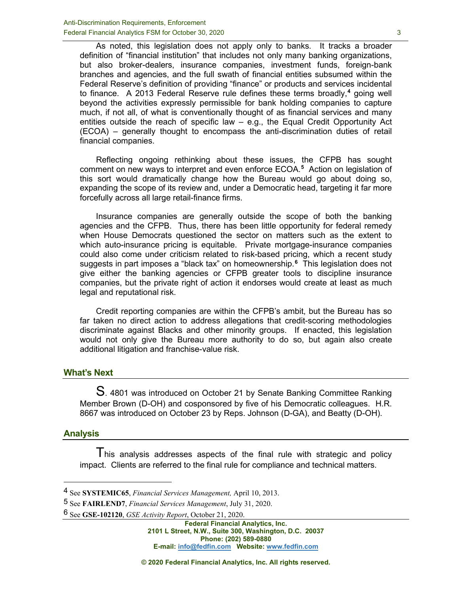As noted, this legislation does not apply only to banks. It tracks a broader definition of "financial institution" that includes not only many banking organizations, but also broker-dealers, insurance companies, investment funds, foreign-bank branches and agencies, and the full swath of financial entities subsumed within the Federal Reserve's definition of providing "finance" or products and services incidental to finance. A 2013 Federal Reserve rule defines these terms broadly,**[4](#page-2-0)** going well beyond the activities expressly permissible for bank holding companies to capture much, if not all, of what is conventionally thought of as financial services and many entities outside the reach of specific law – e.g., the Equal Credit Opportunity Act (ECOA) – generally thought to encompass the anti-discrimination duties of retail financial companies.

Reflecting ongoing rethinking about these issues, the CFPB has sought comment on new ways to interpret and even enforce ECOA.**[5](#page-2-1)** Action on legislation of this sort would dramatically change how the Bureau would go about doing so, expanding the scope of its review and, under a Democratic head, targeting it far more forcefully across all large retail-finance firms.

Insurance companies are generally outside the scope of both the banking agencies and the CFPB. Thus, there has been little opportunity for federal remedy when House Democrats questioned the sector on matters such as the extent to which auto-insurance pricing is equitable. Private mortgage-insurance companies could also come under criticism related to risk-based pricing, which a recent study suggests in part imposes a "black tax" on homeownership.**[6](#page-2-2)** This legislation does not give either the banking agencies or CFPB greater tools to discipline insurance companies, but the private right of action it endorses would create at least as much legal and reputational risk.

Credit reporting companies are within the CFPB's ambit, but the Bureau has so far taken no direct action to address allegations that credit-scoring methodologies discriminate against Blacks and other minority groups. If enacted, this legislation would not only give the Bureau more authority to do so, but again also create additional litigation and franchise-value risk.

#### **What's Next**

S. 4801 was introduced on October 21 by Senate Banking Committee Ranking Member Brown (D-OH) and cosponsored by five of his Democratic colleagues. H.R. 8667 was introduced on October 23 by Reps. Johnson (D-GA), and Beatty (D-OH).

#### **Analysis**

I his analysis addresses aspects of the final rule with strategic and policy impact. Clients are referred to the final rule for compliance and technical matters.

<span id="page-2-2"></span>6 See **GSE-102120**, *GSE Activity Report*, October 21, 2020.

<span id="page-2-0"></span><sup>4</sup> See **SYSTEMIC65**, *Financial Services Management,* April 10, 2013.

<span id="page-2-1"></span><sup>5</sup> See **FAIRLEND7**, *Financial Services Management*, July 31, 2020.

**Federal Financial Analytics, Inc. 2101 L Street, N.W., Suite 300, Washington, D.C. 20037 Phone: (202) 589-0880 E-mail: [info@fedfin.com](mailto:info@fedfin.com) Website[: www.fedfin.com](http://www.fedfin.com/)**